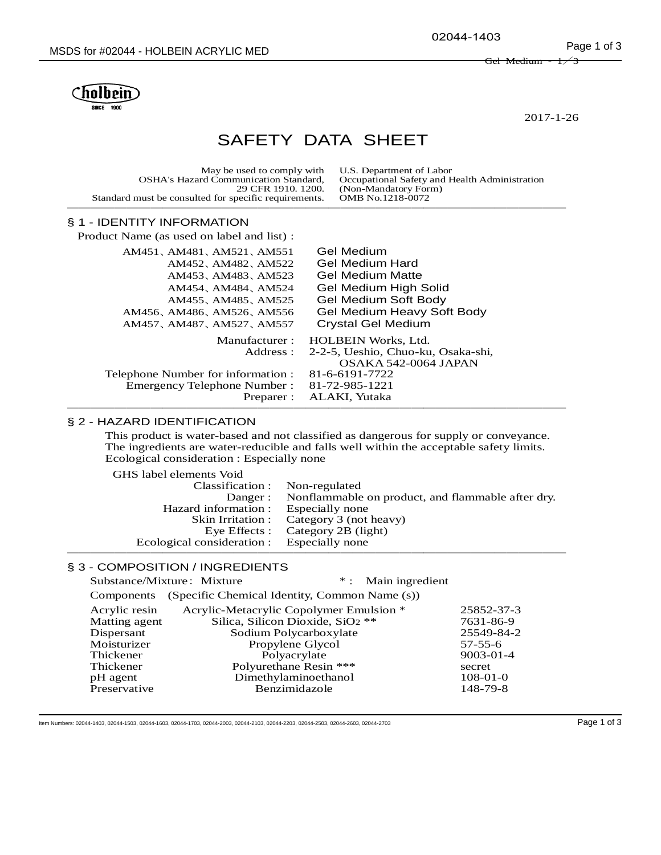02044-1403

Gel Medium



2017-1-26

# SAFETY DATA SHEET

|  | May be used to comply with U.S. Department of Labor<br><b>OSHA's Hazard Communication Standard.</b><br>29 CFR 1910, 1200.<br>Standard must be consulted for specific requirements. | Occupational Safety and Health Administration<br>(Non-Mandatory Form)<br>OMB No.1218-0072 |
|--|------------------------------------------------------------------------------------------------------------------------------------------------------------------------------------|-------------------------------------------------------------------------------------------|
|--|------------------------------------------------------------------------------------------------------------------------------------------------------------------------------------|-------------------------------------------------------------------------------------------|

# § 1 - IDENTITY INFORMATION

| Product Name (as used on label and list):                                                                                                            |                                                                                                                                         |
|------------------------------------------------------------------------------------------------------------------------------------------------------|-----------------------------------------------------------------------------------------------------------------------------------------|
| AM451, AM481, AM521, AM551<br>AM452, AM482, AM522<br>AM453, AM483, AM523<br>AM454, AM484, AM524<br>AM455, AM485, AM525<br>AM456, AM486, AM526, AM556 | Gel Medium<br>Gel Medium Hard<br><b>Gel Medium Matte</b><br>Gel Medium High Solid<br>Gel Medium Soft Body<br>Gel Medium Heavy Soft Body |
| AM457、AM487、AM527、AM557                                                                                                                              | Crystal Gel Medium                                                                                                                      |
| Manufacturer:<br>Address :                                                                                                                           | <b>HOLBEIN Works, Ltd.</b><br>2-2-5, Ueshio, Chuo-ku, Osaka-shi,<br>OSAKA 542-0064 JAPAN                                                |
| Telephone Number for information :<br>Emergency Telephone Number :                                                                                   | 81-6-6191-7722<br>81-72-985-1221                                                                                                        |
| Preparer :                                                                                                                                           | ALAKI, Yutaka                                                                                                                           |

## § 2 - HAZARD IDENTIFICATION

This product is water-based and not classified as dangerous for supply or conveyance. The ingredients are water-reducible and falls well within the acceptable safety limits. Ecological consideration : Especially none

GHS label elements Void

| Classification : Non-regulated             | Danger: Nonflammable on product, and flammable after dry. |
|--------------------------------------------|-----------------------------------------------------------|
| Hazard information : Especially none       |                                                           |
|                                            | Skin Irritation : Category 3 (not heavy)                  |
|                                            | Eye Effects : Category 2B (light)                         |
| Ecological consideration : Especially none |                                                           |
|                                            |                                                           |

## § 3 - COMPOSITION / INGREDIENTS

|               | Substance/Mixture: Mixture                    |                                              | * : Main ingredient |                 |
|---------------|-----------------------------------------------|----------------------------------------------|---------------------|-----------------|
| Components    | (Specific Chemical Identity, Common Name (s)) |                                              |                     |                 |
| Acrylic resin | Acrylic-Metacrylic Copolymer Emulsion *       |                                              |                     | 25852-37-3      |
| Matting agent |                                               | Silica, Silicon Dioxide, SiO <sub>2</sub> ** |                     | 7631-86-9       |
| Dispersant    |                                               | Sodium Polycarboxylate                       |                     | 25549-84-2      |
| Moisturizer   |                                               | Propylene Glycol                             |                     | $57 - 55 - 6$   |
| Thickener     |                                               | Polyacrylate                                 |                     | $9003 - 01 - 4$ |
| Thickener     |                                               | Polyurethane Resin ***                       |                     | secret          |
| pH agent      |                                               | Dimethylaminoethanol                         |                     | $108-01-0$      |
| Preservative  |                                               | Benzimidazole                                |                     | 148-79-8        |

Item Numbers: 02044-1403, 02044-1503, 02044-1603, 02044-1703, 02044-2003, 02044-2103, 02044-2203, 02044-2503, 02044-2503, 02044-2703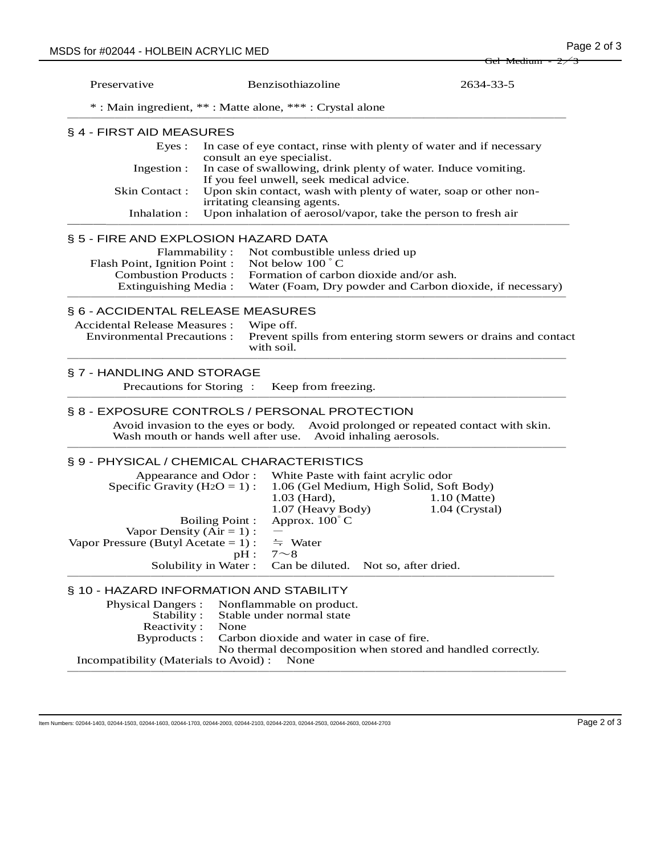|                                                                                                                              |                                |                                                                        | $\sigma$ oct iviculum - $27.3$                                                                                 |
|------------------------------------------------------------------------------------------------------------------------------|--------------------------------|------------------------------------------------------------------------|----------------------------------------------------------------------------------------------------------------|
| Preservative                                                                                                                 |                                | Benzisothiazoline                                                      | 2634-33-5                                                                                                      |
|                                                                                                                              |                                | *: Main ingredient, **: Matte alone, ***: Crystal alone                |                                                                                                                |
| § 4 - FIRST AID MEASURES                                                                                                     |                                |                                                                        |                                                                                                                |
| Eyes:                                                                                                                        |                                |                                                                        | In case of eye contact, rinse with plenty of water and if necessary                                            |
| Ingestion :                                                                                                                  |                                | consult an eye specialist.<br>If you feel unwell, seek medical advice. | In case of swallowing, drink plenty of water. Induce vomiting.                                                 |
| <b>Skin Contact:</b>                                                                                                         |                                | irritating cleansing agents.                                           | Upon skin contact, wash with plenty of water, soap or other non-                                               |
| Inhalation :                                                                                                                 |                                |                                                                        | Upon inhalation of aerosol/vapor, take the person to fresh air                                                 |
| § 5 - FIRE AND EXPLOSION HAZARD DATA                                                                                         |                                |                                                                        |                                                                                                                |
|                                                                                                                              | Flammability:                  | Not combustible unless dried up                                        |                                                                                                                |
| Flash Point, Ignition Point :                                                                                                |                                | Not below $100^{\circ}$ C                                              |                                                                                                                |
| <b>Combustion Products:</b>                                                                                                  |                                | Formation of carbon dioxide and/or ash.                                |                                                                                                                |
| Extinguishing Media:                                                                                                         |                                |                                                                        | Water (Foam, Dry powder and Carbon dioxide, if necessary)                                                      |
| Accidental Release Measures :<br><b>Environmental Precautions:</b><br>§ 7 - HANDLING AND STORAGE<br>Precautions for Storing: |                                | Wipe off.<br>with soil.<br>Keep from freezing.                         | Prevent spills from entering storm sewers or drains and contact                                                |
| § 8 - EXPOSURE CONTROLS / PERSONAL PROTECTION                                                                                |                                |                                                                        |                                                                                                                |
| Wash mouth or hands well after use.                                                                                          |                                |                                                                        | Avoid invasion to the eyes or body. Avoid prolonged or repeated contact with skin.<br>Avoid inhaling aerosols. |
| § 9 - PHYSICAL / CHEMICAL CHARACTERISTICS                                                                                    |                                |                                                                        |                                                                                                                |
|                                                                                                                              | Appearance and Odor:           | White Paste with faint acrylic odor                                    |                                                                                                                |
| Specific Gravity ( $H2O = 1$ ):                                                                                              |                                | 1.03 (Hard),                                                           | 1.06 (Gel Medium, High Solid, Soft Body)<br>$1.10$ (Matte)                                                     |
|                                                                                                                              | <b>Boiling Point:</b>          | 1.07 (Heavy Body)<br>Approx. $100^{\circ}$ C                           | $1.04$ (Crystal)                                                                                               |
| Vapor Density $(Air = 1)$ :                                                                                                  |                                |                                                                        |                                                                                                                |
| Vapor Pressure (Butyl Acetate = $1$ ) :                                                                                      |                                | $\div$ Water                                                           |                                                                                                                |
|                                                                                                                              | $pH$ :<br>Solubility in Water: | $7 \sim 8$<br>Can be diluted. Not so, after dried.                     |                                                                                                                |
|                                                                                                                              |                                |                                                                        |                                                                                                                |
| § 10 - HAZARD INFORMATION AND STABILITY                                                                                      |                                |                                                                        |                                                                                                                |
| <b>Physical Dangers:</b>                                                                                                     |                                | Nonflammable on product.                                               |                                                                                                                |
| Stability:<br>Reactivity:                                                                                                    | None                           | Stable under normal state                                              |                                                                                                                |
| Byproducts:                                                                                                                  |                                | Carbon dioxide and water in case of fire.                              |                                                                                                                |

No thermal decomposition when stored and handled correctly.

Incompatibility (Materials to Avoid) : None ──────────────────────────────────────────

Item Numbers: 02044-1403, 02044-1503, 02044-1603, 02044-1703, 02044-2003, 02044-2103, 02044-2203, 02044-2503, 02044-2603, 02044-2703 Page 2 of 3

 $\overline{\rm{Get}}$  Medin